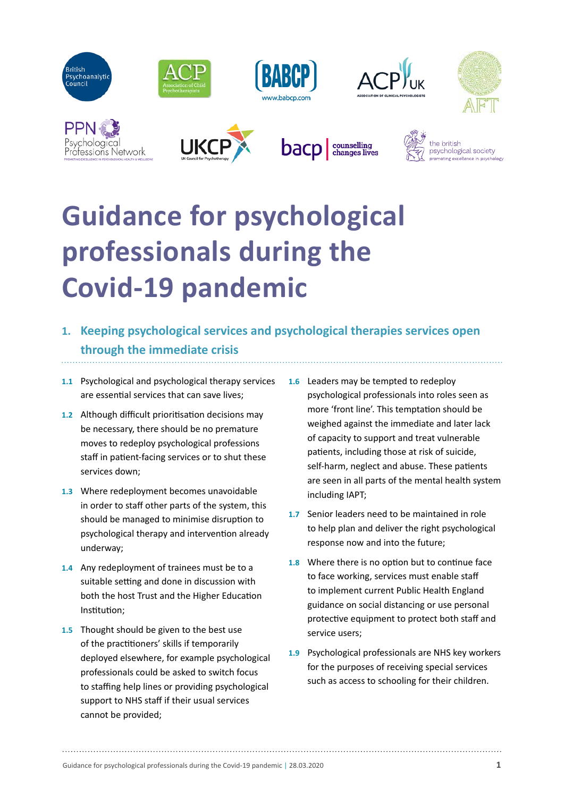

# **Guidance for psychological professionals during the Covid-19 pandemic**

- **1. Keeping psychological services and psychological therapies services open through the immediate crisis**
- **1.1** Psychological and psychological therapy services are essential services that can save lives;
- **1.2** Although difficult prioritisation decisions may be necessary, there should be no premature moves to redeploy psychological professions staff in patient-facing services or to shut these services down;
- **1.3** Where redeployment becomes unavoidable in order to staff other parts of the system, this should be managed to minimise disruption to psychological therapy and intervention already underway;
- **1.4** Any redeployment of trainees must be to a suitable setting and done in discussion with both the host Trust and the Higher Education Institution;
- **1.5** Thought should be given to the best use of the practitioners' skills if temporarily deployed elsewhere, for example psychological professionals could be asked to switch focus to staffing help lines or providing psychological support to NHS staff if their usual services cannot be provided;
- **1.6** Leaders may be tempted to redeploy psychological professionals into roles seen as more 'front line'. This temptation should be weighed against the immediate and later lack of capacity to support and treat vulnerable patients, including those at risk of suicide, self-harm, neglect and abuse. These patients are seen in all parts of the mental health system including IAPT;
- **1.7** Senior leaders need to be maintained in role to help plan and deliver the right psychological response now and into the future;
- **1.8** Where there is no option but to continue face to face working, services must enable staff to implement current Public Health England guidance on social distancing or use personal protective equipment to protect both staff and service users;
- **1.9** Psychological professionals are NHS key workers for the purposes of receiving special services such as access to schooling for their children.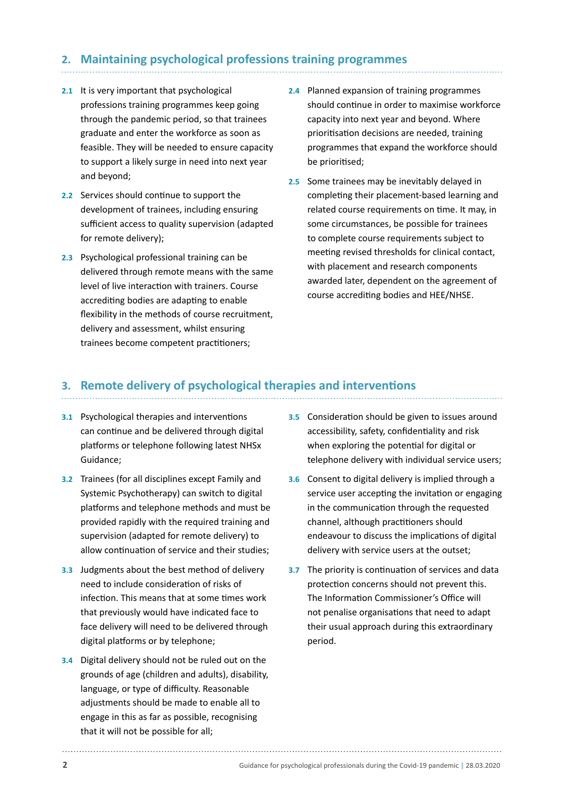## **2. Maintaining psychological professions training programmes**

- **2.1** It is very important that psychological professions training programmes keep going through the pandemic period, so that trainees graduate and enter the workforce as soon as feasible. They will be needed to ensure capacity to support a likely surge in need into next year and beyond;
- **2.2** Services should continue to support the development of trainees, including ensuring sufficient access to quality supervision (adapted for remote delivery);
- **2.3** Psychological professional training can be delivered through remote means with the same level of live interaction with trainers. Course accrediting bodies are adapting to enable flexibility in the methods of course recruitment, delivery and assessment, whilst ensuring trainees become competent practitioners;
- **2.4** Planned expansion of training programmes should continue in order to maximise workforce capacity into next year and beyond. Where prioritisation decisions are needed, training programmes that expand the workforce should be prioritised;
- **2.5** Some trainees may be inevitably delayed in completing their placement-based learning and related course requirements on time. It may, in some circumstances, be possible for trainees to complete course requirements subject to meeting revised thresholds for clinical contact, with placement and research components awarded later, dependent on the agreement of course accrediting bodies and HEE/NHSE.

### **3. Remote delivery of psychological therapies and interventions**

- **3.1** Psychological therapies and interventions can continue and be delivered through digital platforms or telephone following latest NHSx Guidance;
- **3.2** Trainees (for all disciplines except Family and Systemic Psychotherapy) can switch to digital platforms and telephone methods and must be provided rapidly with the required training and supervision (adapted for remote delivery) to allow continuation of service and their studies;
- **3.3** Judgments about the best method of delivery need to include consideration of risks of infection. This means that at some times work that previously would have indicated face to face delivery will need to be delivered through digital platforms or by telephone;
- **3.4** Digital delivery should not be ruled out on the grounds of age (children and adults), disability, language, or type of difficulty. Reasonable adjustments should be made to enable all to engage in this as far as possible, recognising that it will not be possible for all;
- **3.5** Consideration should be given to issues around accessibility, safety, confidentiality and risk when exploring the potential for digital or telephone delivery with individual service users;
- **3.6** Consent to digital delivery is implied through a service user accepting the invitation or engaging in the communication through the requested channel, although practitioners should endeavour to discuss the implications of digital delivery with service users at the outset;
- **3.7** The priority is continuation of services and data protection concerns should not prevent this. The Information Commissioner's Office will not penalise organisations that need to adapt their usual approach during this extraordinary period.

**2** Guidance for psychological professionals during the Covid-19 pandemic | 28.03.2020